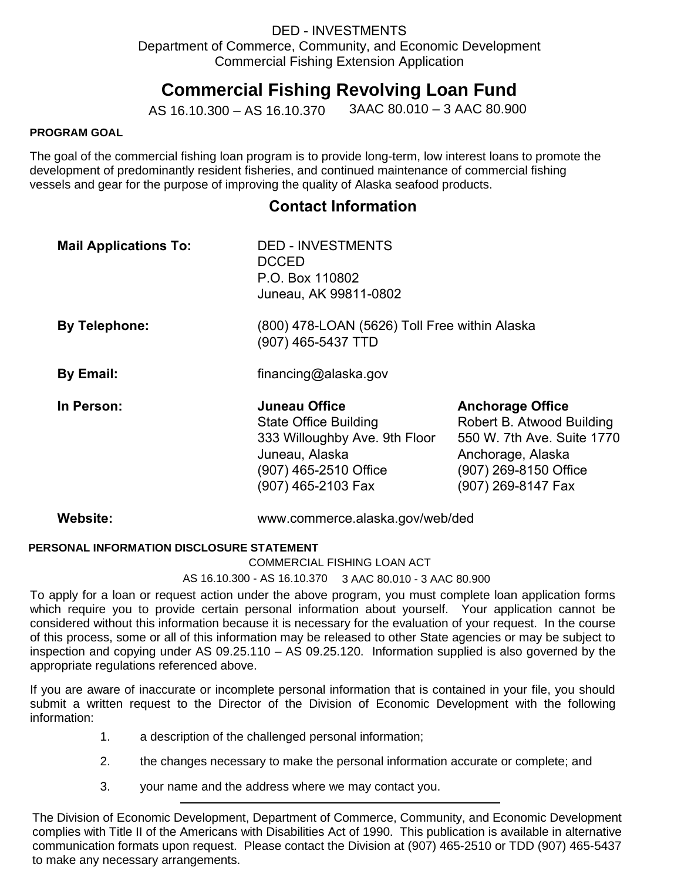# **Commercial Fishing Revolving Loan Fund**

AS 16.10.300 – AS 16.10.370 3AAC 80.010 – 3 AAC 80.900

#### **PROGRAM GOAL**

The goal of the commercial fishing loan program is to provide long-term, low interest loans to promote the development of predominantly resident fisheries, and continued maintenance of commercial fishing vessels and gear for the purpose of improving the quality of Alaska seafood products.

# **Contact Information**

| <b>Mail Applications To:</b> | <b>DED - INVESTMENTS</b><br><b>DCCED</b><br>P.O. Box 110802<br>Juneau, AK 99811-0802                                                            |                                                                                                                                                        |  |
|------------------------------|-------------------------------------------------------------------------------------------------------------------------------------------------|--------------------------------------------------------------------------------------------------------------------------------------------------------|--|
| <b>By Telephone:</b>         | (800) 478-LOAN (5626) Toll Free within Alaska<br>(907) 465-5437 TTD                                                                             |                                                                                                                                                        |  |
| By Email:                    | financing@alaska.gov                                                                                                                            |                                                                                                                                                        |  |
| In Person:                   | Juneau Office<br><b>State Office Building</b><br>333 Willoughby Ave. 9th Floor<br>Juneau, Alaska<br>(907) 465-2510 Office<br>(907) 465-2103 Fax | <b>Anchorage Office</b><br>Robert B. Atwood Building<br>550 W. 7th Ave. Suite 1770<br>Anchorage, Alaska<br>(907) 269-8150 Office<br>(907) 269-8147 Fax |  |
| Website:                     | www.commerce.alaska.gov/web/ded                                                                                                                 |                                                                                                                                                        |  |

### **PERSONAL INFORMATION DISCLOSURE STATEMENT**

#### COMMERCIAL FISHING LOAN ACT

AS 16.10.300 - AS 16.10.370 3 AAC 80.010 - 3 AAC 80.900

To apply for a loan or request action under the above program, you must complete loan application forms which require you to provide certain personal information about yourself. Your application cannot be considered without this information because it is necessary for the evaluation of your request. In the course of this process, some or all of this information may be released to other State agencies or may be subject to inspection and copying under AS 09.25.110 – AS 09.25.120. Information supplied is also governed by the appropriate regulations referenced above.

If you are aware of inaccurate or incomplete personal information that is contained in your file, you should submit a written request to the Director of the Division of Economic Development with the following information:

- 1. a description of the challenged personal information;
- 2. the changes necessary to make the personal information accurate or complete; and
- 3. your name and the address where we may contact you.

The Division of Economic Development, Department of Commerce, Community, and Economic Development complies with Title II of the Americans with Disabilities Act of 1990. This publication is available in alternative communication formats upon request. Please contact the Division at (907) 465-2510 or TDD (907) 465-5437 to make any necessary arrangements.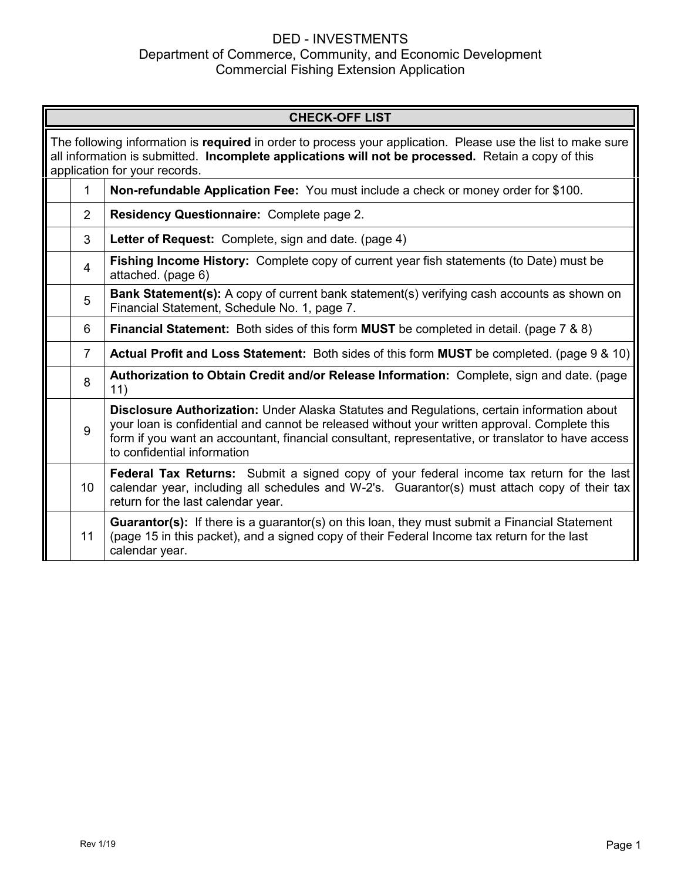| <b>CHECK-OFF LIST</b> |                                                                                                                                                                                                                                                                                                                                  |  |  |
|-----------------------|----------------------------------------------------------------------------------------------------------------------------------------------------------------------------------------------------------------------------------------------------------------------------------------------------------------------------------|--|--|
|                       | The following information is required in order to process your application. Please use the list to make sure<br>all information is submitted. Incomplete applications will not be processed. Retain a copy of this<br>application for your records.                                                                              |  |  |
| 1                     | Non-refundable Application Fee: You must include a check or money order for \$100.                                                                                                                                                                                                                                               |  |  |
| $\overline{2}$        | <b>Residency Questionnaire: Complete page 2.</b>                                                                                                                                                                                                                                                                                 |  |  |
| 3                     | Letter of Request: Complete, sign and date. (page 4)                                                                                                                                                                                                                                                                             |  |  |
| 4                     | Fishing Income History: Complete copy of current year fish statements (to Date) must be<br>attached. (page 6)                                                                                                                                                                                                                    |  |  |
| 5                     | <b>Bank Statement(s):</b> A copy of current bank statement(s) verifying cash accounts as shown on<br>Financial Statement, Schedule No. 1, page 7.                                                                                                                                                                                |  |  |
| 6                     | <b>Financial Statement:</b> Both sides of this form <b>MUST</b> be completed in detail. (page 7 & 8)                                                                                                                                                                                                                             |  |  |
| $\overline{7}$        | Actual Profit and Loss Statement: Both sides of this form MUST be completed. (page 9 & 10)                                                                                                                                                                                                                                       |  |  |
| 8                     | Authorization to Obtain Credit and/or Release Information: Complete, sign and date. (page<br>11)                                                                                                                                                                                                                                 |  |  |
| 9                     | Disclosure Authorization: Under Alaska Statutes and Regulations, certain information about<br>your loan is confidential and cannot be released without your written approval. Complete this<br>form if you want an accountant, financial consultant, representative, or translator to have access<br>to confidential information |  |  |
| 10                    | Federal Tax Returns: Submit a signed copy of your federal income tax return for the last<br>calendar year, including all schedules and W-2's. Guarantor(s) must attach copy of their tax<br>return for the last calendar year.                                                                                                   |  |  |
| 11                    | <b>Guarantor(s):</b> If there is a guarantor(s) on this loan, they must submit a Financial Statement<br>(page 15 in this packet), and a signed copy of their Federal Income tax return for the last<br>calendar year.                                                                                                            |  |  |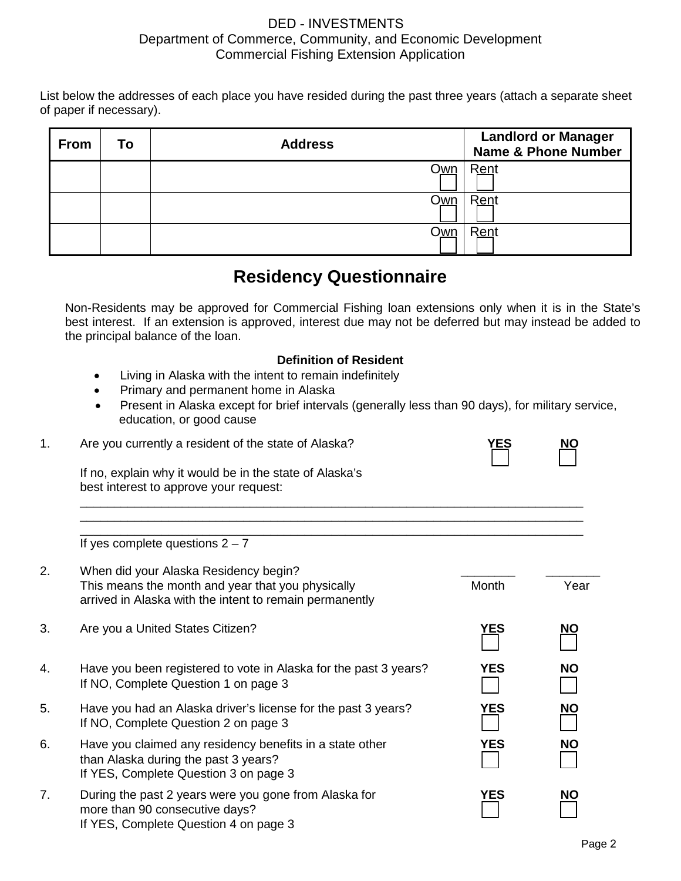List below the addresses of each place you have resided during the past three years (attach a separate sheet of paper if necessary).

| <b>From</b> | To | <b>Address</b> | <b>Landlord or Manager</b><br><b>Name &amp; Phone Number</b> |
|-------------|----|----------------|--------------------------------------------------------------|
|             |    | <u>Own</u>     | Rent                                                         |
|             |    | <u>Own</u>     | Rent                                                         |
|             |    | <u>Own</u>     | Rent                                                         |

# **Residency Questionnaire**

Non-Residents may be approved for Commercial Fishing loan extensions only when it is in the State's best interest. If an extension is approved, interest due may not be deferred but may instead be added to the principal balance of the loan.

## **Definition of Resident**

\_\_\_\_\_\_\_\_\_\_\_\_\_\_\_\_\_\_\_\_\_\_\_\_\_\_\_\_\_\_\_\_\_\_\_\_\_\_\_\_\_\_\_\_\_\_\_\_\_\_\_\_\_\_\_\_\_\_\_\_\_\_\_\_\_\_\_\_\_\_\_\_\_\_ \_\_\_\_\_\_\_\_\_\_\_\_\_\_\_\_\_\_\_\_\_\_\_\_\_\_\_\_\_\_\_\_\_\_\_\_\_\_\_\_\_\_\_\_\_\_\_\_\_\_\_\_\_\_\_\_\_\_\_\_\_\_\_\_\_\_\_\_\_\_\_\_\_\_

- Living in Alaska with the intent to remain indefinitely
- Primary and permanent home in Alaska
- Present in Alaska except for brief intervals (generally less than 90 days), for military service, education, or good cause
- 1. Are you currently a resident of the state of Alaska? **YES NO**

If no, explain why it would be in the state of Alaska's best interest to approve your request:

\_\_\_\_\_\_\_\_\_\_\_\_\_\_\_\_\_\_\_\_\_\_\_\_\_\_\_\_\_\_\_\_\_\_\_\_\_\_\_\_\_\_\_\_\_\_\_\_\_\_\_\_\_\_\_\_\_\_\_\_\_\_\_\_\_\_\_\_\_\_\_\_\_\_ If yes complete questions  $2 - 7$ 

| 2. | When did your Alaska Residency begin?<br>This means the month and year that you physically<br>arrived in Alaska with the intent to remain permanently | Month      | Year      |
|----|-------------------------------------------------------------------------------------------------------------------------------------------------------|------------|-----------|
| 3. | Are you a United States Citizen?                                                                                                                      | <u>YES</u> | <u>NO</u> |
| 4. | Have you been registered to vote in Alaska for the past 3 years?<br>If NO, Complete Question 1 on page 3                                              | YES        | <b>NO</b> |
| 5. | Have you had an Alaska driver's license for the past 3 years?<br>If NO, Complete Question 2 on page 3                                                 | <b>YES</b> | <b>NO</b> |
| 6. | Have you claimed any residency benefits in a state other<br>than Alaska during the past 3 years?<br>If YES, Complete Question 3 on page 3             | <b>YES</b> | <b>NO</b> |
| 7. | During the past 2 years were you gone from Alaska for<br>more than 90 consecutive days?<br>If YES, Complete Question 4 on page 3                      | <b>YES</b> | NΟ        |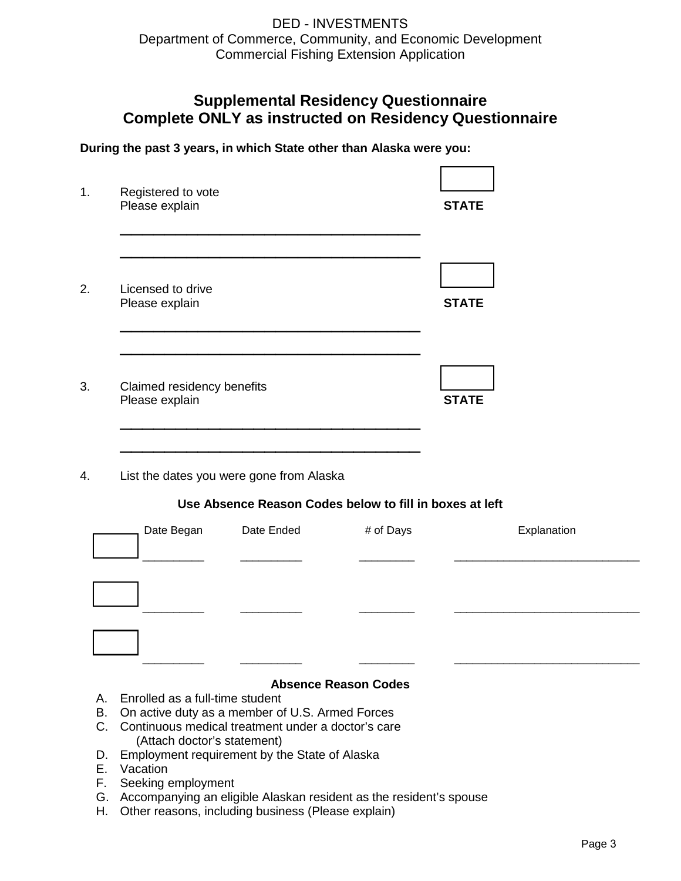# **Supplemental Residency Questionnaire Complete ONLY as instructed on Residency Questionnaire**

Г

٦

**During the past 3 years, in which State other than Alaska were you:**

| Registered to vote<br>Please explain         | <b>STATE</b> |
|----------------------------------------------|--------------|
| Licensed to drive<br>Please explain          | <b>STATE</b> |
| Claimed residency benefits<br>Please explain | <b>STATE</b> |
| List the dates you were gone from Alaska     |              |

#### **Use Absence Reason Codes below to fill in boxes at left**

| Date Began | Date Ended | # of Days | Explanation |
|------------|------------|-----------|-------------|
|            |            |           |             |
|            |            |           |             |
|            |            |           |             |

#### **Absence Reason Codes**

- A. Enrolled as a full-time student
- B. On active duty as a member of U.S. Armed Forces
- C. Continuous medical treatment under a doctor's care (Attach doctor's statement)
- D. Employment requirement by the State of Alaska
- E. Vacation
- F. Seeking employment
- G. Accompanying an eligible Alaskan resident as the resident's spouse
- H. Other reasons, including business (Please explain)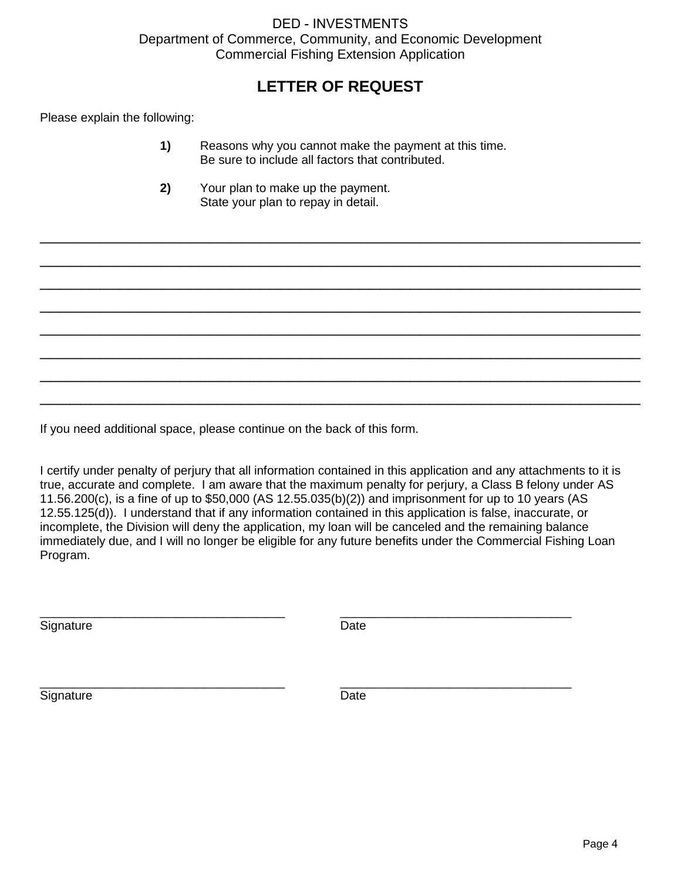# **LETTER OF REQUEST**

Please explain the following:

**1)** Reasons why you cannot make the payment at this time. Be sure to include all factors that contributed.

\_\_\_\_\_\_\_\_\_\_\_\_\_\_\_\_\_\_\_\_\_\_\_\_\_\_\_\_\_\_\_\_\_\_\_\_\_\_\_\_\_\_\_\_\_\_\_\_\_\_\_\_\_\_\_\_\_\_\_\_

\_\_\_\_\_\_\_\_\_\_\_\_\_\_\_\_\_\_\_\_\_\_\_\_\_\_\_\_\_\_\_\_\_\_\_\_\_\_\_\_\_\_\_\_\_\_\_\_\_\_\_\_\_\_\_\_\_\_\_\_

\_\_\_\_\_\_\_\_\_\_\_\_\_\_\_\_\_\_\_\_\_\_\_\_\_\_\_\_\_\_\_\_\_\_\_\_\_\_\_\_\_\_\_\_\_\_\_\_\_\_\_\_\_\_\_\_\_\_\_\_

\_\_\_\_\_\_\_\_\_\_\_\_\_\_\_\_\_\_\_\_\_\_\_\_\_\_\_\_\_\_\_\_\_\_\_\_\_\_\_\_\_\_\_\_\_\_\_\_\_\_\_\_\_\_\_\_\_\_\_\_

\_\_\_\_\_\_\_\_\_\_\_\_\_\_\_\_\_\_\_\_\_\_\_\_\_\_\_\_\_\_\_\_\_\_\_\_\_\_\_\_\_\_\_\_\_\_\_\_\_\_\_\_\_\_\_\_\_\_\_\_

\_\_\_\_\_\_\_\_\_\_\_\_\_\_\_\_\_\_\_\_\_\_\_\_\_\_\_\_\_\_\_\_\_\_\_\_\_\_\_\_\_\_\_\_\_\_\_\_\_\_\_\_\_\_\_\_\_\_\_\_

\_\_\_\_\_\_\_\_\_\_\_\_\_\_\_\_\_\_\_\_\_\_\_\_\_\_\_\_\_\_\_\_\_\_\_\_\_\_\_\_\_\_\_\_\_\_\_\_\_\_\_\_\_\_\_\_\_\_\_\_

\_\_\_\_\_\_\_\_\_\_\_\_\_\_\_\_\_\_\_\_\_\_\_\_\_\_\_\_\_\_\_\_\_\_\_\_\_\_\_\_\_\_\_\_\_\_\_\_\_\_\_\_\_\_\_\_\_\_\_\_

**2)** Your plan to make up the payment. State your plan to repay in detail.

If you need additional space, please continue on the back of this form.

I certify under penalty of perjury that all information contained in this application and any attachments to it is true, accurate and complete. I am aware that the maximum penalty for perjury, a Class B felony under AS 11.56.200(c), is a fine of up to \$50,000 (AS 12.55.035(b)(2)) and imprisonment for up to 10 years (AS 12.55.125(d)). I understand that if any information contained in this application is false, inaccurate, or incomplete, the Division will deny the application, my loan will be canceled and the remaining balance immediately due, and I will no longer be eligible for any future benefits under the Commercial Fishing Loan Program.

\_\_\_\_\_\_\_\_\_\_\_\_\_\_\_\_\_\_\_\_\_\_\_\_\_\_\_\_\_\_\_\_\_\_\_\_ \_\_\_\_\_\_\_\_\_\_\_\_\_\_\_\_\_\_\_\_\_\_\_\_\_\_\_\_\_\_\_\_\_\_

\_\_\_\_\_\_\_\_\_\_\_\_\_\_\_\_\_\_\_\_\_\_\_\_\_\_\_\_\_\_\_\_\_\_\_\_ \_\_\_\_\_\_\_\_\_\_\_\_\_\_\_\_\_\_\_\_\_\_\_\_\_\_\_\_\_\_\_\_\_\_

Signature Date Date

Signature Date Date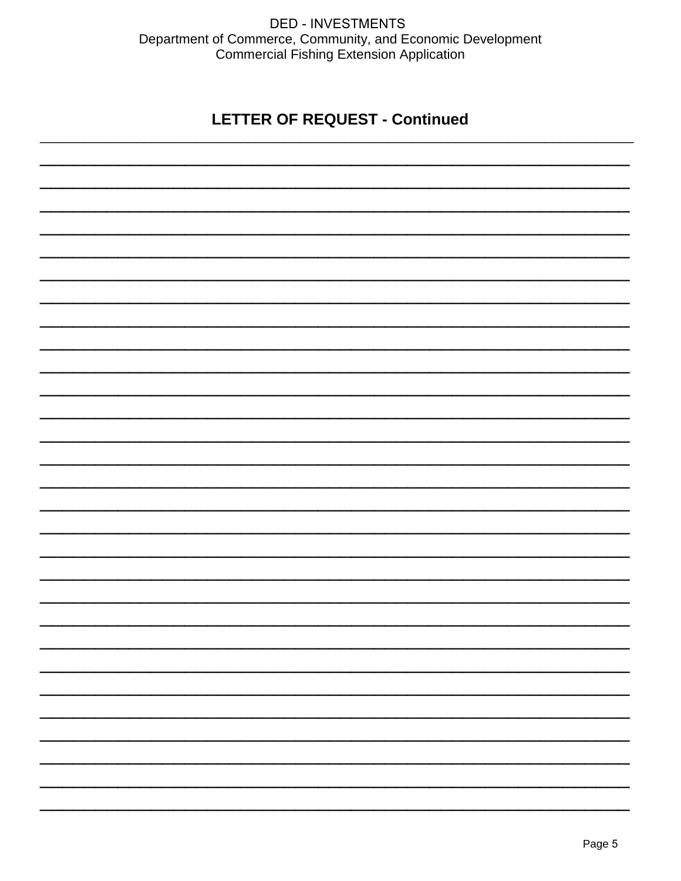# **LETTER OF REQUEST - Continued**

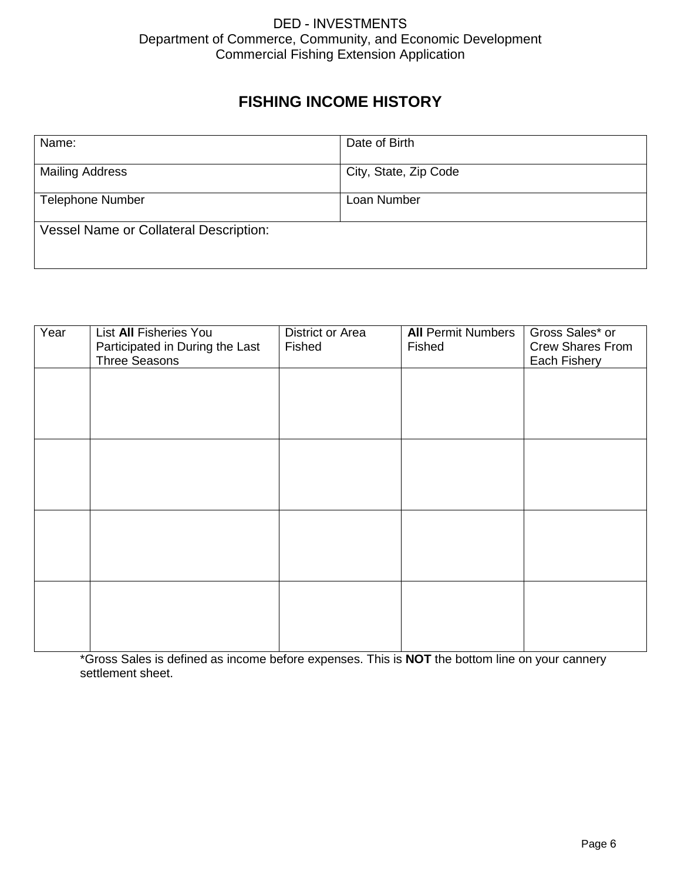# **FISHING INCOME HISTORY**

| Name:                                         | Date of Birth         |
|-----------------------------------------------|-----------------------|
| <b>Mailing Address</b>                        | City, State, Zip Code |
| <b>Telephone Number</b>                       | Loan Number           |
| <b>Vessel Name or Collateral Description:</b> |                       |

| Year | List All Fisheries You          | District or Area | <b>All Permit Numbers</b> | Gross Sales* or         |
|------|---------------------------------|------------------|---------------------------|-------------------------|
|      | Participated in During the Last | Fished           | Fished                    | <b>Crew Shares From</b> |
|      | <b>Three Seasons</b>            |                  |                           | Each Fishery            |
|      |                                 |                  |                           |                         |
|      |                                 |                  |                           |                         |
|      |                                 |                  |                           |                         |
|      |                                 |                  |                           |                         |
|      |                                 |                  |                           |                         |
|      |                                 |                  |                           |                         |
|      |                                 |                  |                           |                         |
|      |                                 |                  |                           |                         |
|      |                                 |                  |                           |                         |
|      |                                 |                  |                           |                         |
|      |                                 |                  |                           |                         |
|      |                                 |                  |                           |                         |
|      |                                 |                  |                           |                         |
|      |                                 |                  |                           |                         |
|      |                                 |                  |                           |                         |
|      |                                 |                  |                           |                         |
|      |                                 |                  |                           |                         |
|      |                                 |                  |                           |                         |
|      |                                 |                  |                           |                         |
|      |                                 |                  |                           |                         |

\*Gross Sales is defined as income before expenses. This is **NOT** the bottom line on your cannery settlement sheet.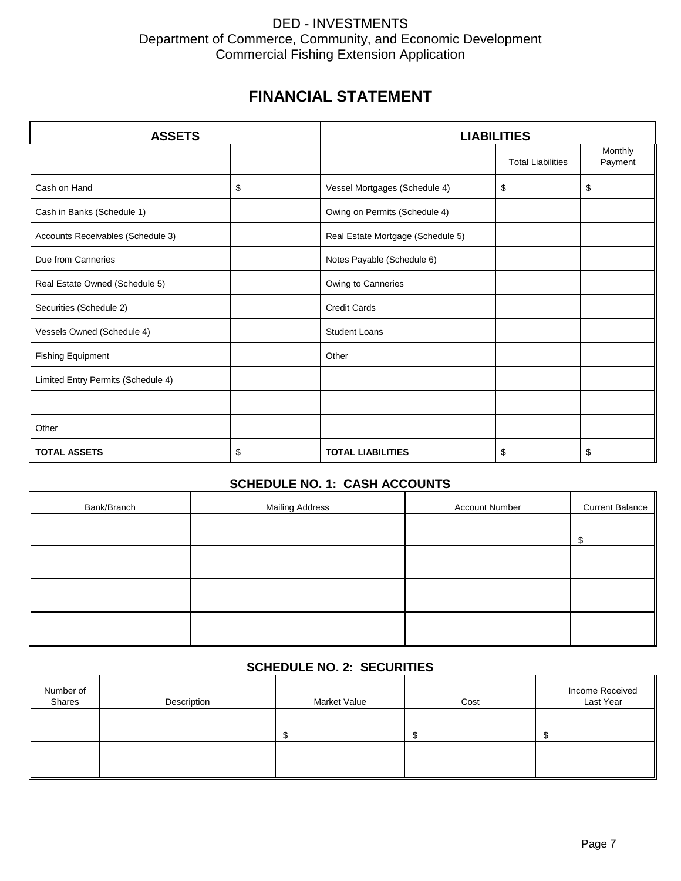# **FINANCIAL STATEMENT**

| <b>ASSETS</b>                      |    | <b>LIABILITIES</b>                |                          |                    |  |
|------------------------------------|----|-----------------------------------|--------------------------|--------------------|--|
|                                    |    |                                   | <b>Total Liabilities</b> | Monthly<br>Payment |  |
| Cash on Hand                       | \$ | Vessel Mortgages (Schedule 4)     | \$                       | \$                 |  |
| Cash in Banks (Schedule 1)         |    | Owing on Permits (Schedule 4)     |                          |                    |  |
| Accounts Receivables (Schedule 3)  |    | Real Estate Mortgage (Schedule 5) |                          |                    |  |
| Due from Canneries                 |    | Notes Payable (Schedule 6)        |                          |                    |  |
| Real Estate Owned (Schedule 5)     |    | Owing to Canneries                |                          |                    |  |
| Securities (Schedule 2)            |    | <b>Credit Cards</b>               |                          |                    |  |
| Vessels Owned (Schedule 4)         |    | <b>Student Loans</b>              |                          |                    |  |
| <b>Fishing Equipment</b>           |    | Other                             |                          |                    |  |
| Limited Entry Permits (Schedule 4) |    |                                   |                          |                    |  |
|                                    |    |                                   |                          |                    |  |
| Other                              |    |                                   |                          |                    |  |
| <b>TOTAL ASSETS</b>                | \$ | <b>TOTAL LIABILITIES</b>          | \$                       | \$                 |  |

## **SCHEDULE NO. 1: CASH ACCOUNTS**

| Bank/Branch | <b>Mailing Address</b> | <b>Account Number</b> | <b>Current Balance</b> |
|-------------|------------------------|-----------------------|------------------------|
|             |                        |                       | Φ                      |
|             |                        |                       |                        |
|             |                        |                       |                        |
|             |                        |                       |                        |
|             |                        |                       |                        |

## **SCHEDULE NO. 2: SECURITIES**

| Number of<br>Shares | Description | Market Value | Cost | Income Received<br>Last Year |
|---------------------|-------------|--------------|------|------------------------------|
|                     |             |              |      |                              |
|                     |             |              |      |                              |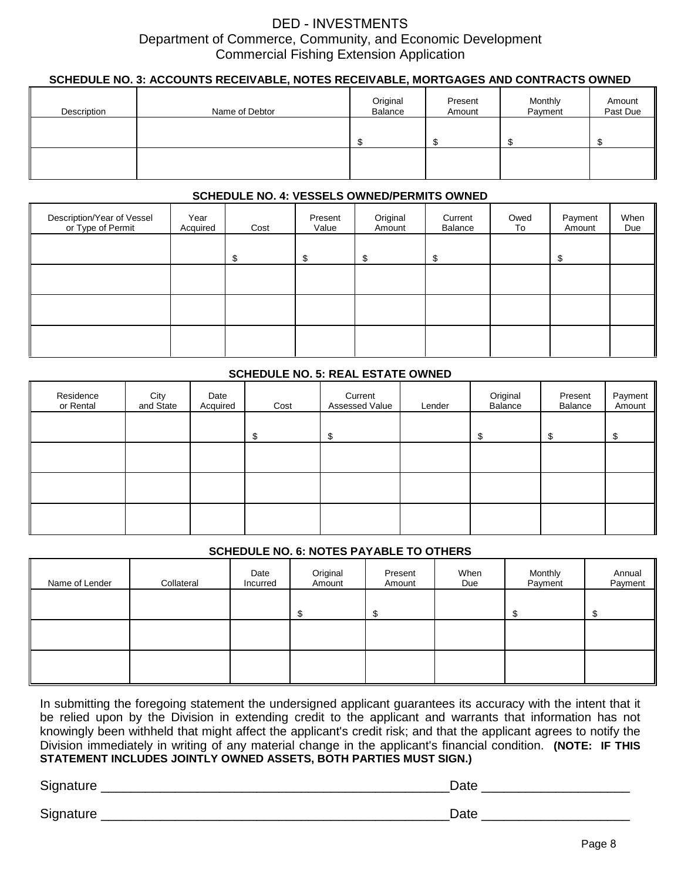### **SCHEDULE NO. 3: ACCOUNTS RECEIVABLE, NOTES RECEIVABLE, MORTGAGES AND CONTRACTS OWNED**

| Description | Name of Debtor | Original<br>Balance | Present<br>Amount | Monthly<br>Payment | Amount<br>Past Due |
|-------------|----------------|---------------------|-------------------|--------------------|--------------------|
|             |                |                     |                   |                    |                    |
|             |                |                     |                   |                    |                    |

#### **SCHEDULE NO. 4: VESSELS OWNED/PERMITS OWNED**

| Description/Year of Vessel<br>or Type of Permit | Year<br>Acquired | Cost | Present<br>Value | Original<br>Amount | Current<br>Balance | Owed<br>To | Payment<br>Amount | When<br>Due |
|-------------------------------------------------|------------------|------|------------------|--------------------|--------------------|------------|-------------------|-------------|
|                                                 |                  | \$   | \$               | S                  | \$                 |            | \$                |             |
|                                                 |                  |      |                  |                    |                    |            |                   |             |
|                                                 |                  |      |                  |                    |                    |            |                   |             |
|                                                 |                  |      |                  |                    |                    |            |                   |             |

### **SCHEDULE NO. 5: REAL ESTATE OWNED**

| Residence<br>or Rental | City<br>and State | Date<br>Acquired | Cost | Current<br>Assessed Value | Lender | Original<br>Balance | Present<br>Balance | Payment<br>Amount |
|------------------------|-------------------|------------------|------|---------------------------|--------|---------------------|--------------------|-------------------|
|                        |                   |                  | S    | S                         |        | \$                  | \$.                | \$.               |
|                        |                   |                  |      |                           |        |                     |                    |                   |
|                        |                   |                  |      |                           |        |                     |                    |                   |
|                        |                   |                  |      |                           |        |                     |                    |                   |

#### **SCHEDULE NO. 6: NOTES PAYABLE TO OTHERS**

| Name of Lender | Collateral | Date<br>Incurred | Original<br>Amount | Present<br>Amount | When<br>Due | Monthly<br>Payment | Annual<br>Payment |
|----------------|------------|------------------|--------------------|-------------------|-------------|--------------------|-------------------|
|                |            |                  |                    |                   |             |                    |                   |
|                |            |                  |                    |                   |             |                    |                   |
|                |            |                  |                    |                   |             |                    |                   |

In submitting the foregoing statement the undersigned applicant guarantees its accuracy with the intent that it be relied upon by the Division in extending credit to the applicant and warrants that information has not knowingly been withheld that might affect the applicant's credit risk; and that the applicant agrees to notify the Division immediately in writing of any material change in the applicant's financial condition. **(NOTE: IF THIS STATEMENT INCLUDES JOINTLY OWNED ASSETS, BOTH PARTIES MUST SIGN.)**

Signature \_\_\_\_\_\_\_\_\_\_\_\_\_\_\_\_\_\_\_\_\_\_\_\_\_\_\_\_\_\_\_\_\_\_\_\_\_\_\_\_\_\_\_\_\_\_\_Date \_\_\_\_\_\_\_\_\_\_\_\_\_\_\_\_\_\_\_\_ Signature \_\_\_\_\_\_\_\_\_\_\_\_\_\_\_\_\_\_\_\_\_\_\_\_\_\_\_\_\_\_\_\_\_\_\_\_\_\_\_\_\_\_\_\_\_\_\_Date \_\_\_\_\_\_\_\_\_\_\_\_\_\_\_\_\_\_\_\_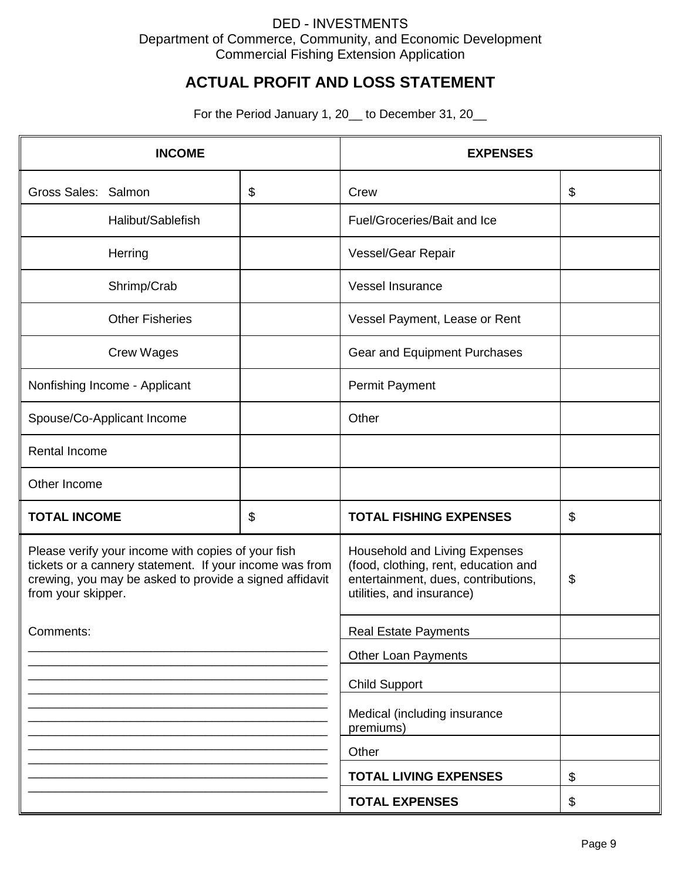# **ACTUAL PROFIT AND LOSS STATEMENT**

For the Period January 1, 20\_to December 31, 20\_

| <b>INCOME</b>                                                                                                                                                                                  |    | <b>EXPENSES</b>                                                                                                                           |    |
|------------------------------------------------------------------------------------------------------------------------------------------------------------------------------------------------|----|-------------------------------------------------------------------------------------------------------------------------------------------|----|
| Gross Sales: Salmon                                                                                                                                                                            | \$ | Crew                                                                                                                                      | \$ |
| Halibut/Sablefish                                                                                                                                                                              |    | Fuel/Groceries/Bait and Ice                                                                                                               |    |
| Herring                                                                                                                                                                                        |    | Vessel/Gear Repair                                                                                                                        |    |
| Shrimp/Crab                                                                                                                                                                                    |    | Vessel Insurance                                                                                                                          |    |
| <b>Other Fisheries</b>                                                                                                                                                                         |    | Vessel Payment, Lease or Rent                                                                                                             |    |
| <b>Crew Wages</b>                                                                                                                                                                              |    | Gear and Equipment Purchases                                                                                                              |    |
| Nonfishing Income - Applicant                                                                                                                                                                  |    | <b>Permit Payment</b>                                                                                                                     |    |
| Spouse/Co-Applicant Income                                                                                                                                                                     |    | Other                                                                                                                                     |    |
| Rental Income                                                                                                                                                                                  |    |                                                                                                                                           |    |
| Other Income                                                                                                                                                                                   |    |                                                                                                                                           |    |
| <b>TOTAL INCOME</b>                                                                                                                                                                            | \$ | <b>TOTAL FISHING EXPENSES</b>                                                                                                             | \$ |
| Please verify your income with copies of your fish<br>tickets or a cannery statement. If your income was from<br>crewing, you may be asked to provide a signed affidavit<br>from your skipper. |    | Household and Living Expenses<br>(food, clothing, rent, education and<br>entertainment, dues, contributions,<br>utilities, and insurance) | \$ |
| Comments:                                                                                                                                                                                      |    | <b>Real Estate Payments</b>                                                                                                               |    |
|                                                                                                                                                                                                |    | <b>Other Loan Payments</b>                                                                                                                |    |
|                                                                                                                                                                                                |    | <b>Child Support</b>                                                                                                                      |    |
|                                                                                                                                                                                                |    | Medical (including insurance<br>premiums)                                                                                                 |    |
|                                                                                                                                                                                                |    | Other                                                                                                                                     |    |
|                                                                                                                                                                                                |    | <b>TOTAL LIVING EXPENSES</b>                                                                                                              | \$ |
|                                                                                                                                                                                                |    | <b>TOTAL EXPENSES</b>                                                                                                                     | \$ |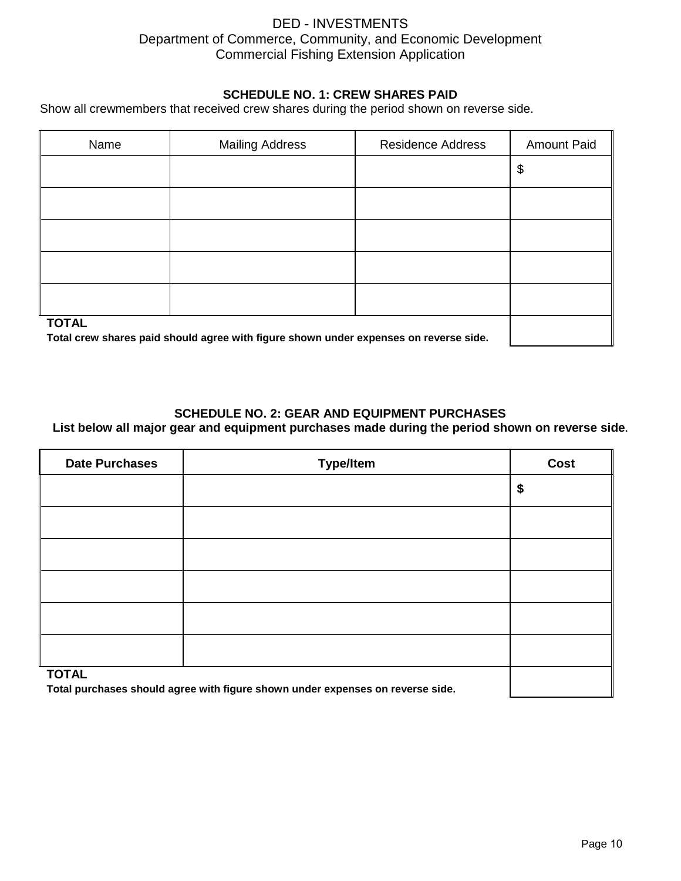### **SCHEDULE NO. 1: CREW SHARES PAID**

Show all crewmembers that received crew shares during the period shown on reverse side.

| Name         | <b>Mailing Address</b> | <b>Residence Address</b> | <b>Amount Paid</b> |
|--------------|------------------------|--------------------------|--------------------|
|              |                        |                          | \$                 |
|              |                        |                          |                    |
|              |                        |                          |                    |
|              |                        |                          |                    |
|              |                        |                          |                    |
| <b>TOTAL</b> |                        |                          |                    |

**Total crew shares paid should agree with figure shown under expenses on reverse side.**

### **SCHEDULE NO. 2: GEAR AND EQUIPMENT PURCHASES**

**List below all major gear and equipment purchases made during the period shown on reverse side.** 

| <b>Date Purchases</b>                                                                          | <b>Type/Item</b> | Cost |
|------------------------------------------------------------------------------------------------|------------------|------|
|                                                                                                |                  | \$   |
|                                                                                                |                  |      |
|                                                                                                |                  |      |
|                                                                                                |                  |      |
|                                                                                                |                  |      |
|                                                                                                |                  |      |
| <b>TOTAL</b><br>Total purchases should agree with figure shown under expenses on reverse side. |                  |      |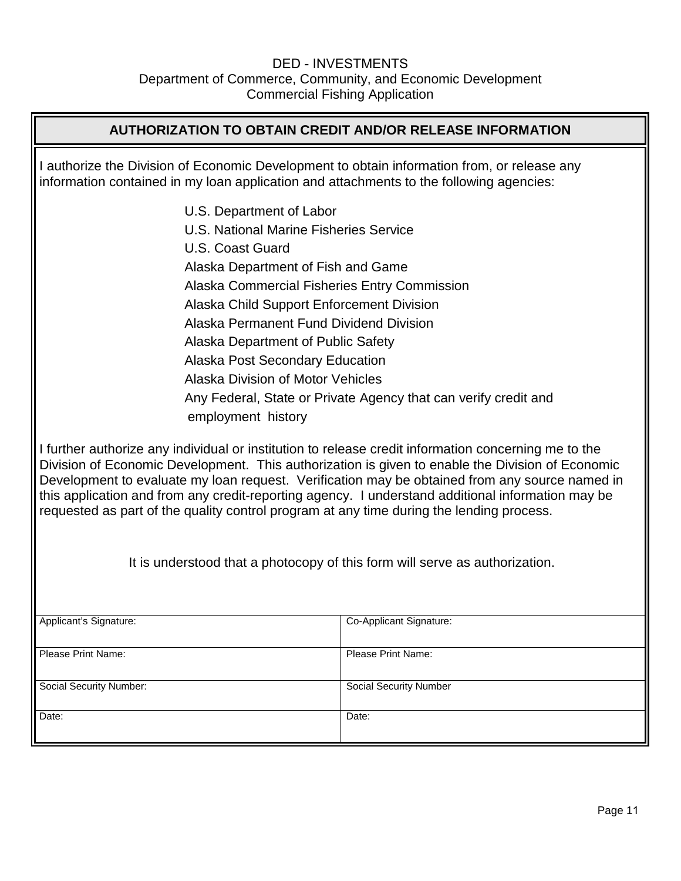# **AUTHORIZATION TO OBTAIN CREDIT AND/OR RELEASE INFORMATION** I authorize the Division of Economic Development to obtain information from, or release any information contained in my loan application and attachments to the following agencies: U.S. Department of Labor U.S. National Marine Fisheries Service U.S. Coast Guard Alaska Department of Fish and Game Alaska Commercial Fisheries Entry Commission Alaska Child Support Enforcement Division Alaska Permanent Fund Dividend Division Alaska Department of Public Safety Alaska Post Secondary Education Alaska Division of Motor Vehicles Any Federal, State or Private Agency that can verify credit and employment history I further authorize any individual or institution to release credit information concerning me to the Division of Economic Development. This authorization is given to enable the Division of Economic Development to evaluate my loan request. Verification may be obtained from any source named in this application and from any credit-reporting agency. I understand additional information may be requested as part of the quality control program at any time during the lending process.

Applicant's Signature: Co-Applicant Signature: Please Print Name: Please Print Name: Social Security Number: Social Security Number Date:  $\qquad \qquad \qquad \vert$  Date:

It is understood that a photocopy of this form will serve as authorization.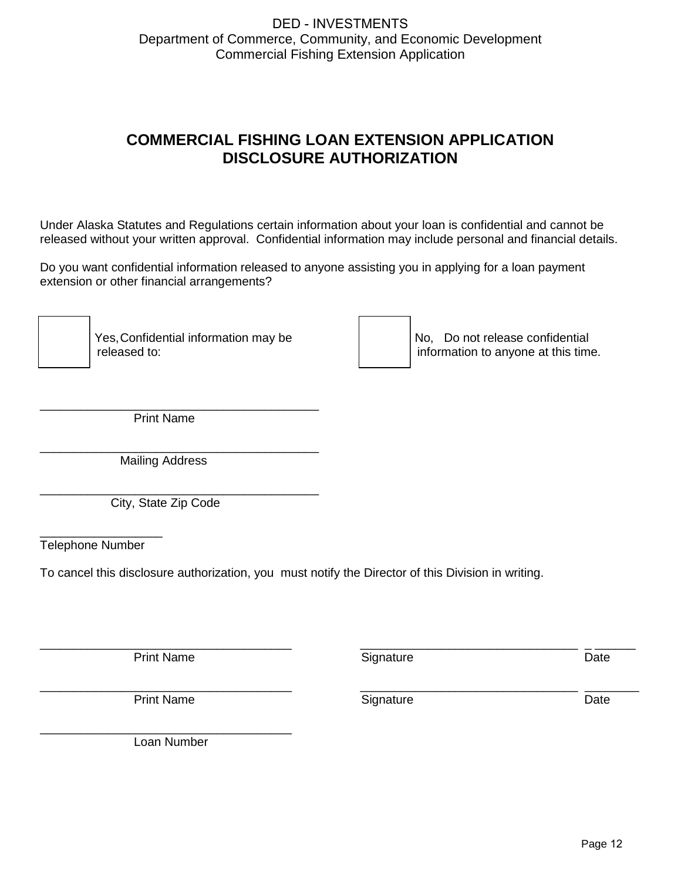# **COMMERCIAL FISHING LOAN EXTENSION APPLICATION DISCLOSURE AUTHORIZATION**

Under Alaska Statutes and Regulations certain information about your loan is confidential and cannot be released without your written approval. Confidential information may include personal and financial details.

Do you want confidential information released to anyone assisting you in applying for a loan payment extension or other financial arrangements?

\_\_\_\_\_\_\_ Yes, Confidential information may be \_\_\_\_\_\_\_ No, Do not release confidential

information to anyone at this time.

\_\_\_\_\_\_\_\_\_\_\_\_\_\_\_\_\_\_\_\_\_\_\_\_\_\_\_\_\_\_\_\_ \_ \_\_\_\_\_\_

\_\_\_\_\_\_\_\_\_\_\_\_\_\_\_\_\_\_\_\_\_\_\_\_\_\_\_\_\_\_\_\_ \_\_\_\_\_\_\_\_

\_\_\_\_\_\_\_\_\_\_\_\_\_\_\_\_\_\_\_\_\_\_\_\_\_\_\_\_\_\_\_\_\_\_\_\_\_\_\_\_\_ Print Name

\_\_\_\_\_\_\_\_\_\_\_\_\_\_\_\_\_\_\_\_\_\_\_\_\_\_\_\_\_\_\_\_\_\_\_\_\_\_\_\_\_ Mailing Address

\_\_\_\_\_\_\_\_\_\_\_\_\_\_\_\_\_\_\_\_\_\_\_\_\_\_\_\_\_\_\_\_\_\_\_\_\_\_\_\_\_ City, State Zip Code

\_\_\_\_\_\_\_\_\_\_\_\_\_\_\_\_\_\_ Telephone Number

To cancel this disclosure authorization, you must notify the Director of this Division in writing.

\_\_\_\_\_\_\_\_\_\_\_\_\_\_\_\_\_\_\_\_\_\_\_\_\_\_\_\_\_\_\_\_\_\_\_\_\_ Print Name

Signature Date

\_\_\_\_\_\_\_\_\_\_\_\_\_\_\_\_\_\_\_\_\_\_\_\_\_\_\_\_\_\_\_\_\_\_\_\_\_ Print Name

Signature Date

\_\_\_\_\_\_\_\_\_\_\_\_\_\_\_\_\_\_\_\_\_\_\_\_\_\_\_\_\_\_\_\_\_\_\_\_\_ Loan Number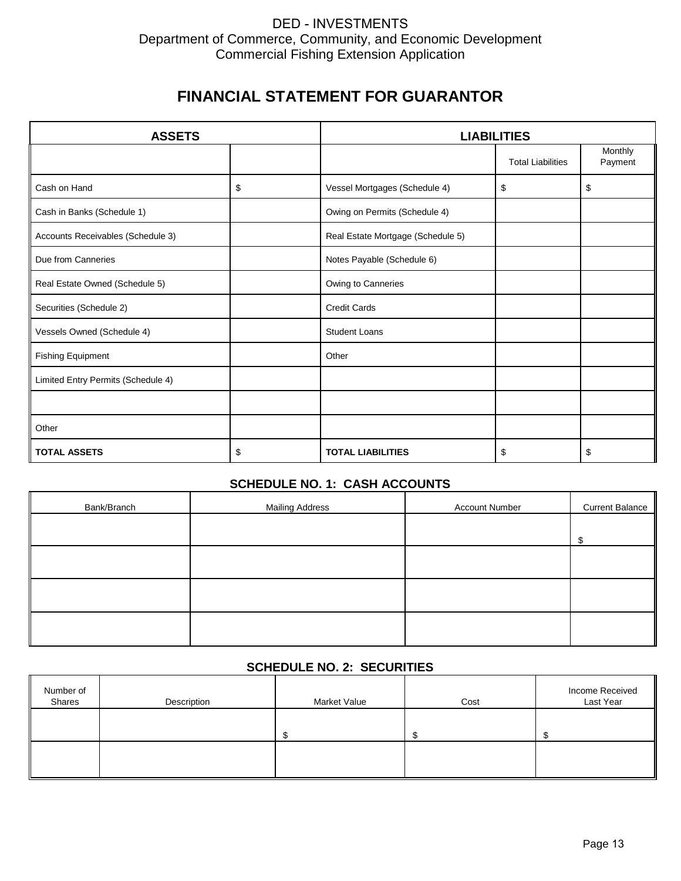# **FINANCIAL STATEMENT FOR GUARANTOR**

| <b>ASSETS</b>                      |    | <b>LIABILITIES</b>                |                          |                    |  |  |
|------------------------------------|----|-----------------------------------|--------------------------|--------------------|--|--|
|                                    |    |                                   | <b>Total Liabilities</b> | Monthly<br>Payment |  |  |
| Cash on Hand                       | \$ | Vessel Mortgages (Schedule 4)     | \$                       | \$                 |  |  |
| Cash in Banks (Schedule 1)         |    | Owing on Permits (Schedule 4)     |                          |                    |  |  |
| Accounts Receivables (Schedule 3)  |    | Real Estate Mortgage (Schedule 5) |                          |                    |  |  |
| Due from Canneries                 |    | Notes Payable (Schedule 6)        |                          |                    |  |  |
| Real Estate Owned (Schedule 5)     |    | Owing to Canneries                |                          |                    |  |  |
| Securities (Schedule 2)            |    | <b>Credit Cards</b>               |                          |                    |  |  |
| Vessels Owned (Schedule 4)         |    | <b>Student Loans</b>              |                          |                    |  |  |
| <b>Fishing Equipment</b>           |    | Other                             |                          |                    |  |  |
| Limited Entry Permits (Schedule 4) |    |                                   |                          |                    |  |  |
|                                    |    |                                   |                          |                    |  |  |
| Other                              |    |                                   |                          |                    |  |  |
| <b>TOTAL ASSETS</b>                | \$ | <b>TOTAL LIABILITIES</b>          | \$                       | \$                 |  |  |

## **SCHEDULE NO. 1: CASH ACCOUNTS**

| Bank/Branch | <b>Mailing Address</b> | <b>Account Number</b> | <b>Current Balance</b> |
|-------------|------------------------|-----------------------|------------------------|
|             |                        |                       | ¢                      |
|             |                        |                       |                        |
|             |                        |                       |                        |
|             |                        |                       |                        |
|             |                        |                       |                        |

## **SCHEDULE NO. 2: SECURITIES**

| Number of<br>Shares | Description | Market Value | Cost | Income Received<br>Last Year |
|---------------------|-------------|--------------|------|------------------------------|
|                     |             |              |      |                              |
|                     |             |              |      |                              |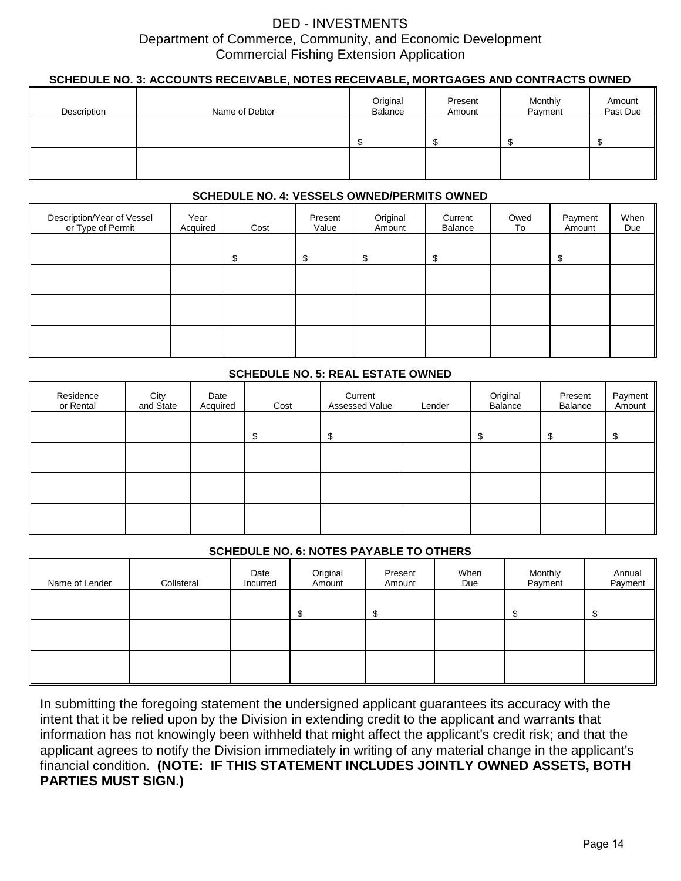### **SCHEDULE NO. 3: ACCOUNTS RECEIVABLE, NOTES RECEIVABLE, MORTGAGES AND CONTRACTS OWNED**

| Description | Name of Debtor | Original<br>Balance | Present<br>Amount | Monthly<br>Payment | Amount<br>Past Due |
|-------------|----------------|---------------------|-------------------|--------------------|--------------------|
|             |                |                     |                   |                    |                    |
|             |                |                     |                   |                    |                    |

#### **SCHEDULE NO. 4: VESSELS OWNED/PERMITS OWNED**

| Description/Year of Vessel<br>or Type of Permit | Year<br>Acquired | Cost | Present<br>Value | Original<br>Amount | Current<br>Balance | Owed<br>To | Payment<br>Amount | When<br>Due |
|-------------------------------------------------|------------------|------|------------------|--------------------|--------------------|------------|-------------------|-------------|
|                                                 |                  | \$   | \$               | \$                 | \$                 |            | S                 |             |
|                                                 |                  |      |                  |                    |                    |            |                   |             |
|                                                 |                  |      |                  |                    |                    |            |                   |             |
|                                                 |                  |      |                  |                    |                    |            |                   |             |

### **SCHEDULE NO. 5: REAL ESTATE OWNED**

| Residence<br>or Rental | City<br>and State | Date<br>Acquired | Cost | Current<br>Assessed Value | Lender | Original<br>Balance | Present<br>Balance | Payment<br>Amount |
|------------------------|-------------------|------------------|------|---------------------------|--------|---------------------|--------------------|-------------------|
|                        |                   |                  | S    | \$                        |        | \$                  | S                  | \$                |
|                        |                   |                  |      |                           |        |                     |                    |                   |
|                        |                   |                  |      |                           |        |                     |                    |                   |
|                        |                   |                  |      |                           |        |                     |                    |                   |

### **SCHEDULE NO. 6: NOTES PAYABLE TO OTHERS**

| Name of Lender | Collateral | Date<br>Incurred | Original<br>Amount | Present<br>Amount | When<br>Due | Monthly<br>Payment | Annual<br>Payment |
|----------------|------------|------------------|--------------------|-------------------|-------------|--------------------|-------------------|
|                |            |                  |                    |                   |             |                    |                   |
|                |            |                  |                    |                   |             |                    |                   |
|                |            |                  |                    |                   |             |                    |                   |

In submitting the foregoing statement the undersigned applicant guarantees its accuracy with the intent that it be relied upon by the Division in extending credit to the applicant and warrants that information has not knowingly been withheld that might affect the applicant's credit risk; and that the applicant agrees to notify the Division immediately in writing of any material change in the applicant's financial condition. **(NOTE: IF THIS STATEMENT INCLUDES JOINTLY OWNED ASSETS, BOTH PARTIES MUST SIGN.)**